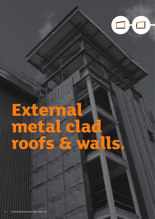

# **External**  metal cl<br>roofs & **roofs & walls.**